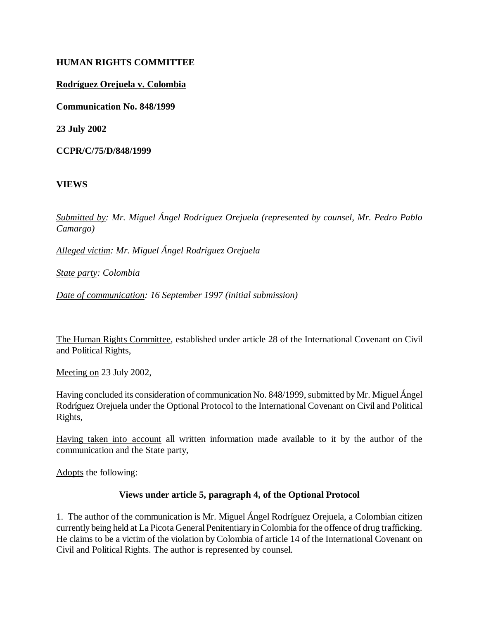## **HUMAN RIGHTS COMMITTEE**

#### **Rodríguez Orejuela v. Colombia**

**Communication No. 848/1999**

**23 July 2002** 

**CCPR/C/75/D/848/1999** 

**VIEWS**

*Submitted by: Mr. Miguel Ángel Rodríguez Orejuela (represented by counsel, Mr. Pedro Pablo Camargo)* 

*Alleged victim: Mr. Miguel Ángel Rodríguez Orejuela*

*State party: Colombia* 

*Date of communication: 16 September 1997 (initial submission)* 

The Human Rights Committee, established under article 28 of the International Covenant on Civil and Political Rights,

Meeting on 23 July 2002,

Having concluded its consideration of communication No. 848/1999, submitted by Mr. Miguel Ángel Rodríguez Orejuela under the Optional Protocol to the International Covenant on Civil and Political Rights,

Having taken into account all written information made available to it by the author of the communication and the State party,

Adopts the following:

#### **Views under article 5, paragraph 4, of the Optional Protocol**

1. The author of the communication is Mr. Miguel Ángel Rodríguez Orejuela, a Colombian citizen currently being held at La Picota General Penitentiary in Colombia for the offence of drug trafficking. He claims to be a victim of the violation by Colombia of article 14 of the International Covenant on Civil and Political Rights. The author is represented by counsel.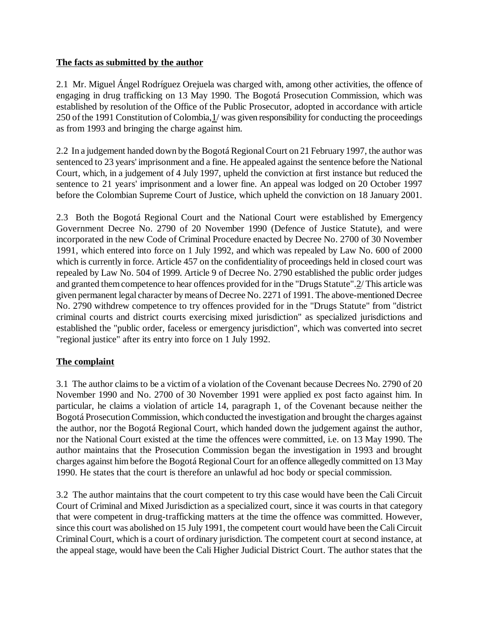## **The facts as submitted by the author**

2.1 Mr. Miguel Ángel Rodríguez Orejuela was charged with, among other activities, the offence of engaging in drug trafficking on 13 May 1990. The Bogotá Prosecution Commission, which was established by resolution of the Office of the Public Prosecutor, adopted in accordance with article 250 of the 1991 Constitution of Colombia,1/ was given responsibility for conducting the proceedings as from 1993 and bringing the charge against him.

2.2 In a judgement handed down by the Bogotá Regional Court on 21 February 1997, the author was sentenced to 23 years' imprisonment and a fine. He appealed against the sentence before the National Court, which, in a judgement of 4 July 1997, upheld the conviction at first instance but reduced the sentence to 21 years' imprisonment and a lower fine. An appeal was lodged on 20 October 1997 before the Colombian Supreme Court of Justice, which upheld the conviction on 18 January 2001.

2.3 Both the Bogotá Regional Court and the National Court were established by Emergency Government Decree No. 2790 of 20 November 1990 (Defence of Justice Statute), and were incorporated in the new Code of Criminal Procedure enacted by Decree No. 2700 of 30 November 1991, which entered into force on 1 July 1992, and which was repealed by Law No. 600 of 2000 which is currently in force. Article 457 on the confidentiality of proceedings held in closed court was repealed by Law No. 504 of 1999. Article 9 of Decree No. 2790 established the public order judges and granted them competence to hear offences provided for in the "Drugs Statute".2/ This article was given permanent legal character by means of Decree No. 2271 of 1991. The above-mentioned Decree No. 2790 withdrew competence to try offences provided for in the "Drugs Statute" from "district criminal courts and district courts exercising mixed jurisdiction" as specialized jurisdictions and established the "public order, faceless or emergency jurisdiction", which was converted into secret "regional justice" after its entry into force on 1 July 1992.

## **The complaint**

3.1 The author claims to be a victim of a violation of the Covenant because Decrees No. 2790 of 20 November 1990 and No. 2700 of 30 November 1991 were applied ex post facto against him. In particular, he claims a violation of article 14, paragraph 1, of the Covenant because neither the Bogotá Prosecution Commission, which conducted the investigation and brought the charges against the author, nor the Bogotá Regional Court, which handed down the judgement against the author, nor the National Court existed at the time the offences were committed, i.e. on 13 May 1990. The author maintains that the Prosecution Commission began the investigation in 1993 and brought charges against him before the Bogotá Regional Court for an offence allegedly committed on 13 May 1990. He states that the court is therefore an unlawful ad hoc body or special commission.

3.2 The author maintains that the court competent to try this case would have been the Cali Circuit Court of Criminal and Mixed Jurisdiction as a specialized court, since it was courts in that category that were competent in drug-trafficking matters at the time the offence was committed. However, since this court was abolished on 15 July 1991, the competent court would have been the Cali Circuit Criminal Court, which is a court of ordinary jurisdiction. The competent court at second instance, at the appeal stage, would have been the Cali Higher Judicial District Court. The author states that the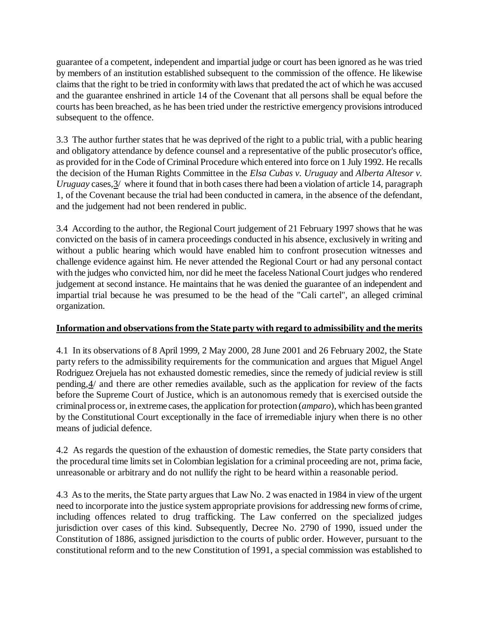guarantee of a competent, independent and impartial judge or court has been ignored as he was tried by members of an institution established subsequent to the commission of the offence. He likewise claims that the right to be tried in conformity with laws that predated the act of which he was accused and the guarantee enshrined in article 14 of the Covenant that all persons shall be equal before the courts has been breached, as he has been tried under the restrictive emergency provisions introduced subsequent to the offence.

3.3 The author further states that he was deprived of the right to a public trial, with a public hearing and obligatory attendance by defence counsel and a representative of the public prosecutor's office, as provided for in the Code of Criminal Procedure which entered into force on 1 July 1992. He recalls the decision of the Human Rights Committee in the *Elsa Cubas v. Uruguay* and *Alberta Altesor v. Uruguay* cases,  $\frac{3}{2}$  where it found that in both cases there had been a violation of article 14, paragraph 1, of the Covenant because the trial had been conducted in camera, in the absence of the defendant, and the judgement had not been rendered in public.

3.4 According to the author, the Regional Court judgement of 21 February 1997 shows that he was convicted on the basis of in camera proceedings conducted in his absence, exclusively in writing and without a public hearing which would have enabled him to confront prosecution witnesses and challenge evidence against him. He never attended the Regional Court or had any personal contact with the judges who convicted him, nor did he meet the faceless National Court judges who rendered judgement at second instance. He maintains that he was denied the guarantee of an independent and impartial trial because he was presumed to be the head of the "Cali cartel", an alleged criminal organization.

## **Information and observations from the State party with regard to admissibility and the merits**

4.1 In its observations of 8 April 1999, 2 May 2000, 28 June 2001 and 26 February 2002, the State party refers to the admissibility requirements for the communication and argues that Miguel Angel Rodriguez Orejuela has not exhausted domestic remedies, since the remedy of judicial review is still pending,4/ and there are other remedies available, such as the application for review of the facts before the Supreme Court of Justice, which is an autonomous remedy that is exercised outside the criminal process or, in extreme cases, the application for protection (*amparo*), which has been granted by the Constitutional Court exceptionally in the face of irremediable injury when there is no other means of judicial defence.

4.2 As regards the question of the exhaustion of domestic remedies, the State party considers that the procedural time limits set in Colombian legislation for a criminal proceeding are not, prima facie, unreasonable or arbitrary and do not nullify the right to be heard within a reasonable period.

4.3 As to the merits, the State party argues that Law No. 2 was enacted in 1984 in view of the urgent need to incorporate into the justice system appropriate provisions for addressing new forms of crime, including offences related to drug trafficking. The Law conferred on the specialized judges jurisdiction over cases of this kind. Subsequently, Decree No. 2790 of 1990, issued under the Constitution of 1886, assigned jurisdiction to the courts of public order. However, pursuant to the constitutional reform and to the new Constitution of 1991, a special commission was established to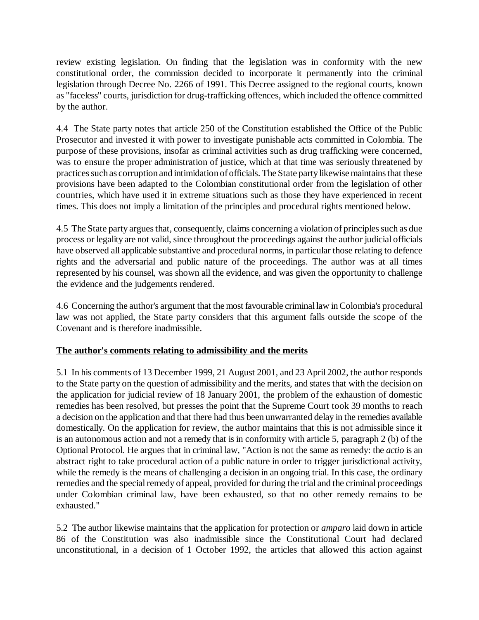review existing legislation. On finding that the legislation was in conformity with the new constitutional order, the commission decided to incorporate it permanently into the criminal legislation through Decree No. 2266 of 1991. This Decree assigned to the regional courts, known as "faceless" courts, jurisdiction for drug-trafficking offences, which included the offence committed by the author.

4.4 The State party notes that article 250 of the Constitution established the Office of the Public Prosecutor and invested it with power to investigate punishable acts committed in Colombia. The purpose of these provisions, insofar as criminal activities such as drug trafficking were concerned, was to ensure the proper administration of justice, which at that time was seriously threatened by practices such as corruption and intimidation of officials. The State party likewise maintains that these provisions have been adapted to the Colombian constitutional order from the legislation of other countries, which have used it in extreme situations such as those they have experienced in recent times. This does not imply a limitation of the principles and procedural rights mentioned below.

4.5 The State party argues that, consequently, claims concerning a violation of principles such as due process or legality are not valid, since throughout the proceedings against the author judicial officials have observed all applicable substantive and procedural norms, in particular those relating to defence rights and the adversarial and public nature of the proceedings. The author was at all times represented by his counsel, was shown all the evidence, and was given the opportunity to challenge the evidence and the judgements rendered.

4.6 Concerning the author's argument that the most favourable criminal law in Colombia's procedural law was not applied, the State party considers that this argument falls outside the scope of the Covenant and is therefore inadmissible.

## **The author's comments relating to admissibility and the merits**

5.1 In his comments of 13 December 1999, 21 August 2001, and 23 April 2002, the author responds to the State party on the question of admissibility and the merits, and states that with the decision on the application for judicial review of 18 January 2001, the problem of the exhaustion of domestic remedies has been resolved, but presses the point that the Supreme Court took 39 months to reach a decision on the application and that there had thus been unwarranted delay in the remedies available domestically. On the application for review, the author maintains that this is not admissible since it is an autonomous action and not a remedy that is in conformity with article 5, paragraph 2 (b) of the Optional Protocol. He argues that in criminal law, "Action is not the same as remedy: the *actio* is an abstract right to take procedural action of a public nature in order to trigger jurisdictional activity, while the remedy is the means of challenging a decision in an ongoing trial. In this case, the ordinary remedies and the special remedy of appeal, provided for during the trial and the criminal proceedings under Colombian criminal law, have been exhausted, so that no other remedy remains to be exhausted."

5.2 The author likewise maintains that the application for protection or *amparo* laid down in article 86 of the Constitution was also inadmissible since the Constitutional Court had declared unconstitutional, in a decision of 1 October 1992, the articles that allowed this action against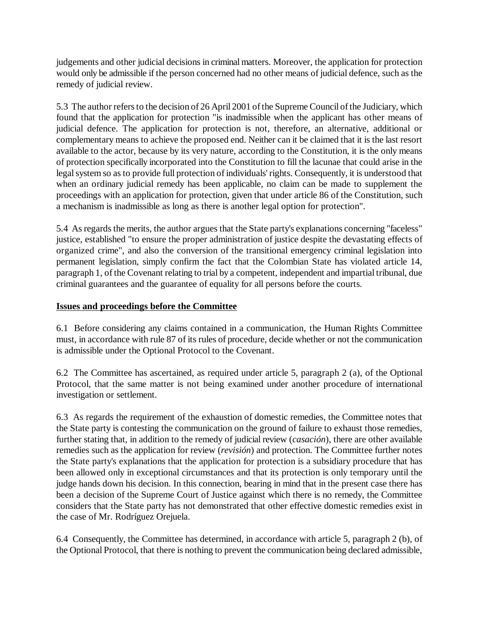judgements and other judicial decisions in criminal matters. Moreover, the application for protection would only be admissible if the person concerned had no other means of judicial defence, such as the remedy of judicial review.

5.3 The author refers to the decision of 26 April 2001 of the Supreme Council of the Judiciary, which found that the application for protection "is inadmissible when the applicant has other means of judicial defence. The application for protection is not, therefore, an alternative, additional or complementary means to achieve the proposed end. Neither can it be claimed that it is the last resort available to the actor, because by its very nature, according to the Constitution, it is the only means of protection specifically incorporated into the Constitution to fill the lacunae that could arise in the legal system so as to provide full protection of individuals' rights. Consequently, it is understood that when an ordinary judicial remedy has been applicable, no claim can be made to supplement the proceedings with an application for protection, given that under article 86 of the Constitution, such a mechanism is inadmissible as long as there is another legal option for protection".

5.4 As regards the merits, the author argues that the State party's explanations concerning "faceless" justice, established "to ensure the proper administration of justice despite the devastating effects of organized crime", and also the conversion of the transitional emergency criminal legislation into permanent legislation, simply confirm the fact that the Colombian State has violated article 14, paragraph 1, of the Covenant relating to trial by a competent, independent and impartial tribunal, due criminal guarantees and the guarantee of equality for all persons before the courts.

# **Issues and proceedings before the Committee**

6.1 Before considering any claims contained in a communication, the Human Rights Committee must, in accordance with rule 87 of its rules of procedure, decide whether or not the communication is admissible under the Optional Protocol to the Covenant.

6.2 The Committee has ascertained, as required under article 5, paragraph 2 (a), of the Optional Protocol, that the same matter is not being examined under another procedure of international investigation or settlement.

6.3 As regards the requirement of the exhaustion of domestic remedies, the Committee notes that the State party is contesting the communication on the ground of failure to exhaust those remedies, further stating that, in addition to the remedy of judicial review (*casación*), there are other available remedies such as the application for review (*revisión*) and protection. The Committee further notes the State party's explanations that the application for protection is a subsidiary procedure that has been allowed only in exceptional circumstances and that its protection is only temporary until the judge hands down his decision. In this connection, bearing in mind that in the present case there has been a decision of the Supreme Court of Justice against which there is no remedy, the Committee considers that the State party has not demonstrated that other effective domestic remedies exist in the case of Mr. Rodríguez Orejuela.

6.4 Consequently, the Committee has determined, in accordance with article 5, paragraph 2 (b), of the Optional Protocol, that there is nothing to prevent the communication being declared admissible,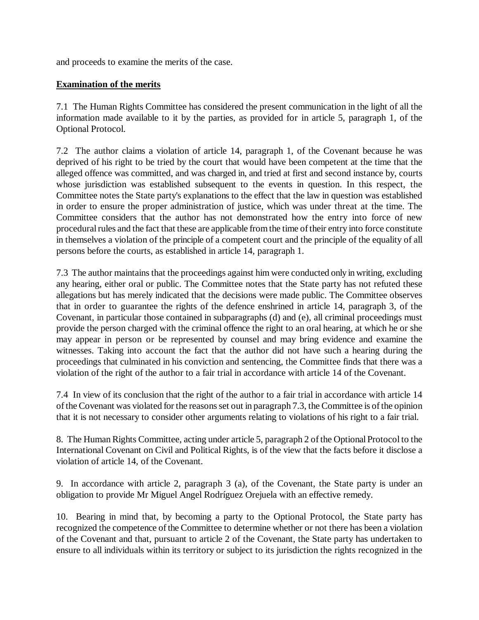and proceeds to examine the merits of the case.

#### **Examination of the merits**

7.1 The Human Rights Committee has considered the present communication in the light of all the information made available to it by the parties, as provided for in article 5, paragraph 1, of the Optional Protocol.

7.2 The author claims a violation of article 14, paragraph 1, of the Covenant because he was deprived of his right to be tried by the court that would have been competent at the time that the alleged offence was committed, and was charged in, and tried at first and second instance by, courts whose jurisdiction was established subsequent to the events in question. In this respect, the Committee notes the State party's explanations to the effect that the law in question was established in order to ensure the proper administration of justice, which was under threat at the time. The Committee considers that the author has not demonstrated how the entry into force of new procedural rules and the fact that these are applicable from the time of their entry into force constitute in themselves a violation of the principle of a competent court and the principle of the equality of all persons before the courts, as established in article 14, paragraph 1.

7.3 The author maintains that the proceedings against him were conducted only in writing, excluding any hearing, either oral or public. The Committee notes that the State party has not refuted these allegations but has merely indicated that the decisions were made public. The Committee observes that in order to guarantee the rights of the defence enshrined in article 14, paragraph 3, of the Covenant, in particular those contained in subparagraphs (d) and (e), all criminal proceedings must provide the person charged with the criminal offence the right to an oral hearing, at which he or she may appear in person or be represented by counsel and may bring evidence and examine the witnesses. Taking into account the fact that the author did not have such a hearing during the proceedings that culminated in his conviction and sentencing, the Committee finds that there was a violation of the right of the author to a fair trial in accordance with article 14 of the Covenant.

7.4 In view of its conclusion that the right of the author to a fair trial in accordance with article 14 of the Covenant was violated for the reasons set out in paragraph 7.3, the Committee is of the opinion that it is not necessary to consider other arguments relating to violations of his right to a fair trial.

8. The Human Rights Committee, acting under article 5, paragraph 2 of the Optional Protocol to the International Covenant on Civil and Political Rights, is of the view that the facts before it disclose a violation of article 14, of the Covenant.

9. In accordance with article 2, paragraph 3 (a), of the Covenant, the State party is under an obligation to provide Mr Miguel Angel Rodríguez Orejuela with an effective remedy.

10. Bearing in mind that, by becoming a party to the Optional Protocol, the State party has recognized the competence of the Committee to determine whether or not there has been a violation of the Covenant and that, pursuant to article 2 of the Covenant, the State party has undertaken to ensure to all individuals within its territory or subject to its jurisdiction the rights recognized in the